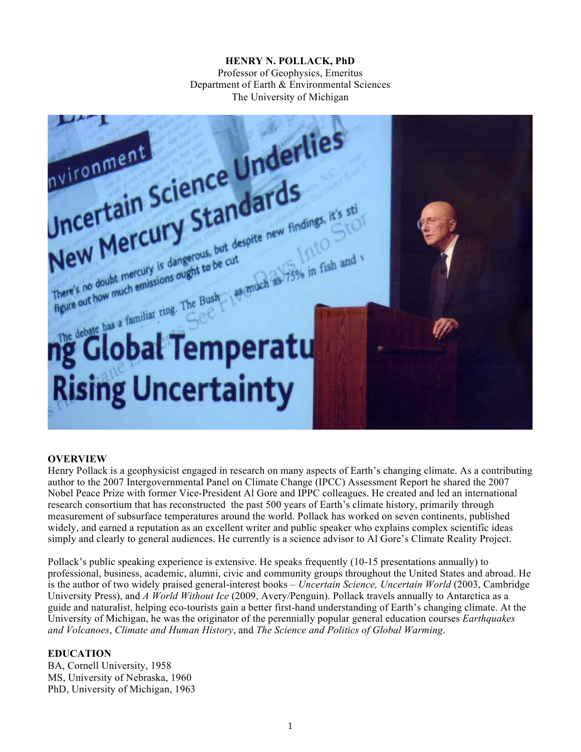# **HENRY N. POLLACK, PhD**

Professor of Geophysics, Emeritus Department of Earth & Environmental Sciences The University of Michigan



#### **OVERVIEW**

Henry Pollack is a geophysicist engaged in research on many aspects of Earth's changing climate. As a contributing author to the 2007 Intergovernmental Panel on Climate Change (IPCC) Assessment Report he shared the 2007 Nobel Peace Prize with former Vice-President Al Gore and IPPC colleagues. He created and led an international research consortium that has reconstructed the past 500 years of Earth's climate history, primarily through measurement of subsurface temperatures around the world. Pollack has worked on seven continents, published widely, and earned a reputation as an excellent writer and public speaker who explains complex scientific ideas simply and clearly to general audiences. He currently is a science advisor to Al Gore's Climate Reality Project.

Pollack's public speaking experience is extensive. He speaks frequently (10-15 presentations annually) to professional, business, academic, alumni, civic and community groups throughout the United States and abroad. He is the author of two widely praised general-interest books – *Uncertain Science, Uncertain World* (2003, Cambridge University Press), and *A World Without Ice* (2009, Avery/Penguin). Pollack travels annually to Antarctica as a guide and naturalist, helping eco-tourists gain a better first-hand understanding of Earth's changing climate. At the University of Michigan, he was the originator of the perennially popular general education courses *Earthquakes and Volcanoes*, *Climate and Human History*, and *The Science and Politics of Global Warming*.

### **EDUCATION**

BA, Cornell University, 1958 MS, University of Nebraska, 1960 PhD, University of Michigan, 1963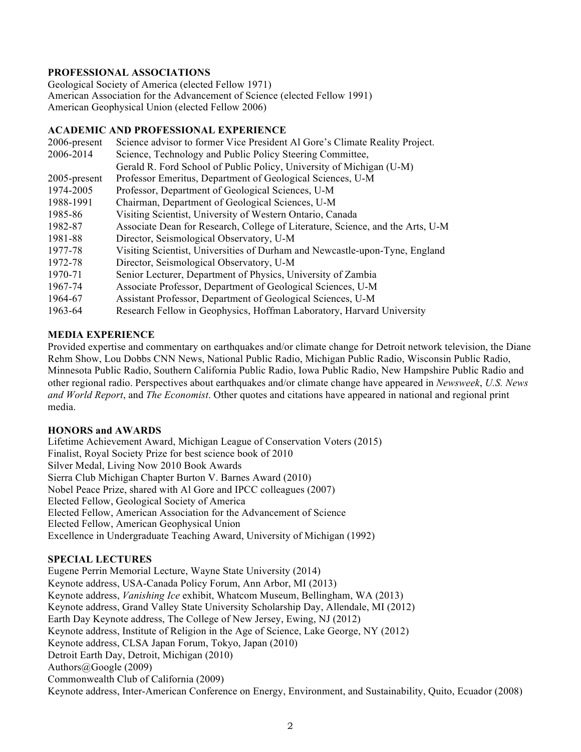## **PROFESSIONAL ASSOCIATIONS**

Geological Society of America (elected Fellow 1971) American Association for the Advancement of Science (elected Fellow 1991) American Geophysical Union (elected Fellow 2006)

#### **ACADEMIC AND PROFESSIONAL EXPERIENCE**

| 2006-present | Science advisor to former Vice President Al Gore's Climate Reality Project.    |
|--------------|--------------------------------------------------------------------------------|
| 2006-2014    | Science, Technology and Public Policy Steering Committee,                      |
|              | Gerald R. Ford School of Public Policy, University of Michigan (U-M)           |
| 2005-present | Professor Emeritus, Department of Geological Sciences, U-M                     |
| 1974-2005    | Professor, Department of Geological Sciences, U-M                              |
| 1988-1991    | Chairman, Department of Geological Sciences, U-M                               |
| 1985-86      | Visiting Scientist, University of Western Ontario, Canada                      |
| 1982-87      | Associate Dean for Research, College of Literature, Science, and the Arts, U-M |
| 1981-88      | Director, Seismological Observatory, U-M                                       |
| 1977-78      | Visiting Scientist, Universities of Durham and Newcastle-upon-Tyne, England    |
| 1972-78      | Director, Seismological Observatory, U-M                                       |
| 1970-71      | Senior Lecturer, Department of Physics, University of Zambia                   |
| 1967-74      | Associate Professor, Department of Geological Sciences, U-M                    |
| 1964-67      | Assistant Professor, Department of Geological Sciences, U-M                    |
| 1963-64      | Research Fellow in Geophysics, Hoffman Laboratory, Harvard University          |

### **MEDIA EXPERIENCE**

Provided expertise and commentary on earthquakes and/or climate change for Detroit network television, the Diane Rehm Show, Lou Dobbs CNN News, National Public Radio, Michigan Public Radio, Wisconsin Public Radio, Minnesota Public Radio, Southern California Public Radio, Iowa Public Radio, New Hampshire Public Radio and other regional radio. Perspectives about earthquakes and/or climate change have appeared in *Newsweek*, *U.S. News and World Report*, and *The Economist*. Other quotes and citations have appeared in national and regional print media.

### **HONORS and AWARDS**

Lifetime Achievement Award, Michigan League of Conservation Voters (2015) Finalist, Royal Society Prize for best science book of 2010 Silver Medal, Living Now 2010 Book Awards Sierra Club Michigan Chapter Burton V. Barnes Award (2010) Nobel Peace Prize, shared with Al Gore and IPCC colleagues (2007) Elected Fellow, Geological Society of America Elected Fellow, American Association for the Advancement of Science Elected Fellow, American Geophysical Union Excellence in Undergraduate Teaching Award, University of Michigan (1992)

### **SPECIAL LECTURES**

Eugene Perrin Memorial Lecture, Wayne State University (2014) Keynote address, USA-Canada Policy Forum, Ann Arbor, MI (2013) Keynote address, *Vanishing Ice* exhibit, Whatcom Museum, Bellingham, WA (2013) Keynote address, Grand Valley State University Scholarship Day, Allendale, MI (2012) Earth Day Keynote address, The College of New Jersey, Ewing, NJ (2012) Keynote address, Institute of Religion in the Age of Science, Lake George, NY (2012) Keynote address, CLSA Japan Forum, Tokyo, Japan (2010) Detroit Earth Day, Detroit, Michigan (2010) Authors@Google (2009) Commonwealth Club of California (2009) Keynote address, Inter-American Conference on Energy, Environment, and Sustainability, Quito, Ecuador (2008)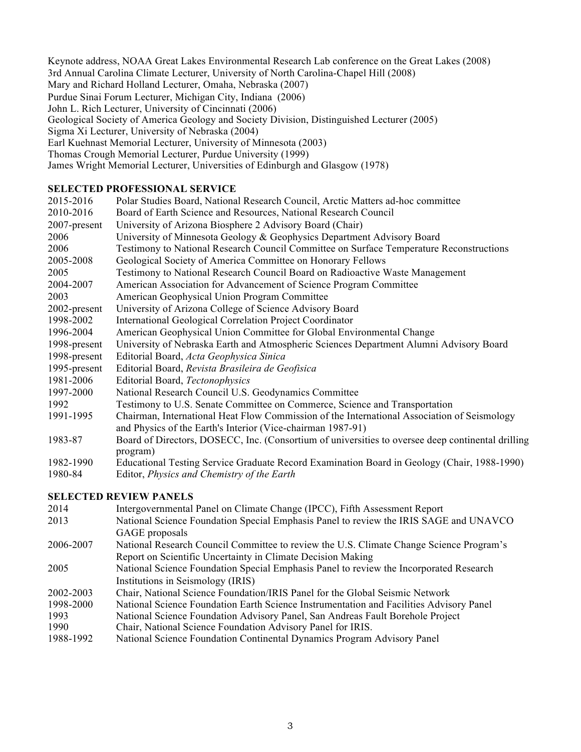Keynote address, NOAA Great Lakes Environmental Research Lab conference on the Great Lakes (2008) 3rd Annual Carolina Climate Lecturer, University of North Carolina-Chapel Hill (2008) Mary and Richard Holland Lecturer, Omaha, Nebraska (2007) Purdue Sinai Forum Lecturer, Michigan City, Indiana (2006) John L. Rich Lecturer, University of Cincinnati (2006) Geological Society of America Geology and Society Division, Distinguished Lecturer (2005) Sigma Xi Lecturer, University of Nebraska (2004) Earl Kuehnast Memorial Lecturer, University of Minnesota (2003) Thomas Crough Memorial Lecturer, Purdue University (1999) James Wright Memorial Lecturer, Universities of Edinburgh and Glasgow (1978)

### **SELECTED PROFESSIONAL SERVICE**

| 2015-2016    | Polar Studies Board, National Research Council, Arctic Matters ad-hoc committee                   |
|--------------|---------------------------------------------------------------------------------------------------|
| 2010-2016    | Board of Earth Science and Resources, National Research Council                                   |
| 2007-present | University of Arizona Biosphere 2 Advisory Board (Chair)                                          |
| 2006         | University of Minnesota Geology & Geophysics Department Advisory Board                            |
| 2006         | Testimony to National Research Council Committee on Surface Temperature Reconstructions           |
| 2005-2008    | Geological Society of America Committee on Honorary Fellows                                       |
| 2005         | Testimony to National Research Council Board on Radioactive Waste Management                      |
| 2004-2007    | American Association for Advancement of Science Program Committee                                 |
| 2003         | American Geophysical Union Program Committee                                                      |
| 2002-present | University of Arizona College of Science Advisory Board                                           |
| 1998-2002    | International Geological Correlation Project Coordinator                                          |
| 1996-2004    | American Geophysical Union Committee for Global Environmental Change                              |
| 1998-present | University of Nebraska Earth and Atmospheric Sciences Department Alumni Advisory Board            |
| 1998-present | Editorial Board, Acta Geophysica Sinica                                                           |
| 1995-present | Editorial Board, Revista Brasileira de Geofisica                                                  |
| 1981-2006    | Editorial Board, Tectonophysics                                                                   |
| 1997-2000    | National Research Council U.S. Geodynamics Committee                                              |
| 1992         | Testimony to U.S. Senate Committee on Commerce, Science and Transportation                        |
| 1991-1995    | Chairman, International Heat Flow Commission of the International Association of Seismology       |
|              | and Physics of the Earth's Interior (Vice-chairman 1987-91)                                       |
| 1983-87      | Board of Directors, DOSECC, Inc. (Consortium of universities to oversee deep continental drilling |
|              | program)                                                                                          |
| 1982-1990    | Educational Testing Service Graduate Record Examination Board in Geology (Chair, 1988-1990)       |
| 1980-84      | Editor, Physics and Chemistry of the Earth                                                        |

### **SELECTED REVIEW PANELS**

- 2014 Intergovernmental Panel on Climate Change (IPCC), Fifth Assessment Report 2013 National Science Foundation Special Emphasis Panel to review the IRIS SAGE and UNAVCO GAGE proposals 2006-2007 National Research Council Committee to review the U.S. Climate Change Science Program's Report on Scientific Uncertainty in Climate Decision Making 2005 National Science Foundation Special Emphasis Panel to review the Incorporated Research Institutions in Seismology (IRIS) 2002-2003 Chair, National Science Foundation/IRIS Panel for the Global Seismic Network 1998-2000 National Science Foundation Earth Science Instrumentation and Facilities Advisory Panel 1993 National Science Foundation Advisory Panel, San Andreas Fault Borehole Project 1990 Chair, National Science Foundation Advisory Panel for IRIS.<br>1988-1992 National Science Foundation Continental Dynamics Program
- National Science Foundation Continental Dynamics Program Advisory Panel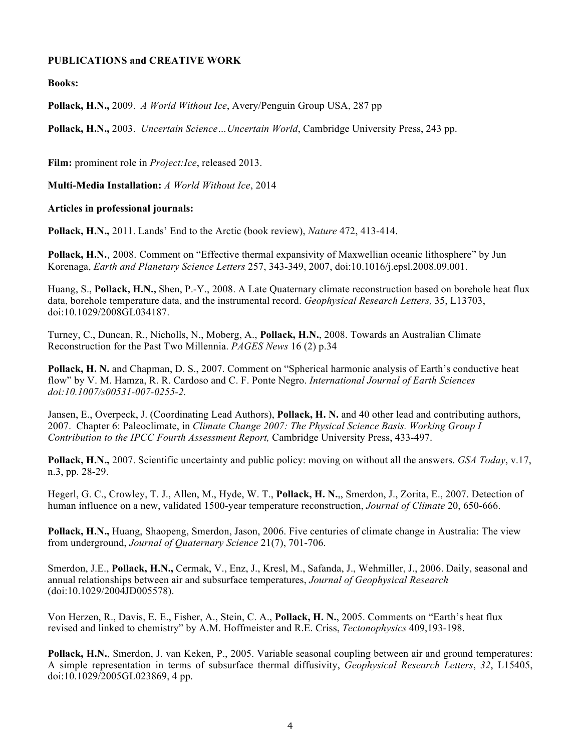#### **PUBLICATIONS and CREATIVE WORK**

**Books:**

**Pollack, H.N.,** 2009. *A World Without Ice*, Avery/Penguin Group USA, 287 pp

**Pollack, H.N.,** 2003. *Uncertain Science…Uncertain World*, Cambridge University Press, 243 pp.

**Film:** prominent role in *Project:Ice*, released 2013.

**Multi-Media Installation:** *A World Without Ice*, 2014

#### **Articles in professional journals:**

**Pollack, H.N.,** 2011. Lands' End to the Arctic (book review), *Nature* 472, 413-414.

**Pollack, H.N.**, 2008. Comment on "Effective thermal expansivity of Maxwellian oceanic lithosphere" by Jun Korenaga, *Earth and Planetary Science Letters* 257, 343-349, 2007, doi:10.1016/j.epsl.2008.09.001.

Huang, S., **Pollack, H.N.,** Shen, P.-Y., 2008. A Late Quaternary climate reconstruction based on borehole heat flux data, borehole temperature data, and the instrumental record. *Geophysical Research Letters,* 35, L13703, doi:10.1029/2008GL034187.

Turney, C., Duncan, R., Nicholls, N., Moberg, A., **Pollack, H.N.**, 2008. Towards an Australian Climate Reconstruction for the Past Two Millennia. *PAGES News* 16 (2) p.34

**Pollack, H. N.** and Chapman, D. S., 2007. Comment on "Spherical harmonic analysis of Earth's conductive heat flow" by V. M. Hamza, R. R. Cardoso and C. F. Ponte Negro. *International Journal of Earth Sciences doi:10.1007/s00531-007-0255-2.*

Jansen, E., Overpeck, J. (Coordinating Lead Authors), **Pollack, H. N.** and 40 other lead and contributing authors, 2007. Chapter 6: Paleoclimate, in *Climate Change 2007: The Physical Science Basis. Working Group I Contribution to the IPCC Fourth Assessment Report,* Cambridge University Press, 433-497.

**Pollack, H.N.,** 2007. Scientific uncertainty and public policy: moving on without all the answers. *GSA Today*, v.17, n.3, pp. 28-29.

Hegerl, G. C., Crowley, T. J., Allen, M., Hyde, W. T., **Pollack, H. N.**,, Smerdon, J., Zorita, E., 2007. Detection of human influence on a new, validated 1500-year temperature reconstruction, *Journal of Climate* 20, 650-666.

**Pollack, H.N.,** Huang, Shaopeng, Smerdon, Jason, 2006. Five centuries of climate change in Australia: The view from underground, *Journal of Quaternary Science* 21(7), 701-706.

Smerdon, J.E., **Pollack, H.N.,** Cermak, V., Enz, J., Kresl, M., Safanda, J., Wehmiller, J., 2006. Daily, seasonal and annual relationships between air and subsurface temperatures, *Journal of Geophysical Research* (doi:10.1029/2004JD005578).

Von Herzen, R., Davis, E. E., Fisher, A., Stein, C. A., **Pollack, H. N.**, 2005. Comments on "Earth's heat flux revised and linked to chemistry" by A.M. Hoffmeister and R.E. Criss, *Tectonophysics* 409,193-198.

**Pollack, H.N.**, Smerdon, J. van Keken, P., 2005. Variable seasonal coupling between air and ground temperatures: A simple representation in terms of subsurface thermal diffusivity, *Geophysical Research Letters*, *32*, L15405, doi:10.1029/2005GL023869, 4 pp.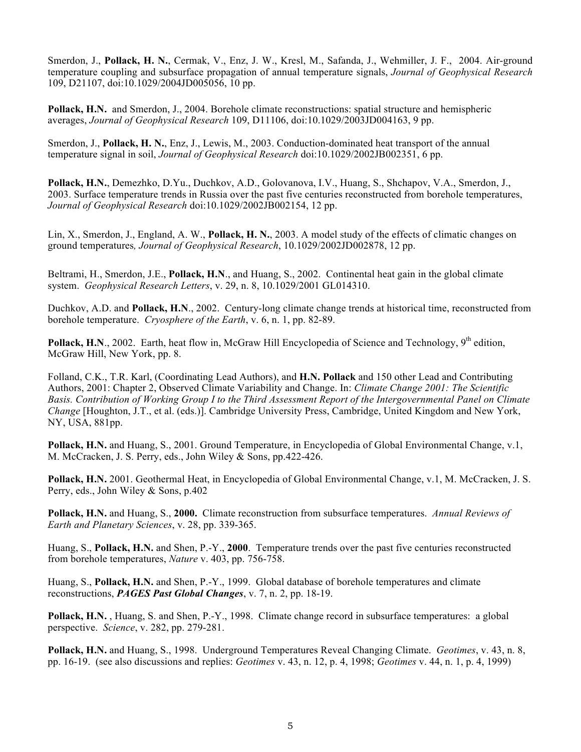Smerdon, J., **Pollack, H. N.**, Cermak, V., Enz, J. W., Kresl, M., Safanda, J., Wehmiller, J. F., 2004. Air-ground temperature coupling and subsurface propagation of annual temperature signals, *Journal of Geophysical Research* 109, D21107, doi:10.1029/2004JD005056, 10 pp.

**Pollack, H.N.** and Smerdon, J., 2004. Borehole climate reconstructions: spatial structure and hemispheric averages, *Journal of Geophysical Research* 109, D11106, doi:10.1029/2003JD004163, 9 pp.

Smerdon, J., **Pollack, H. N.**, Enz, J., Lewis, M., 2003. Conduction-dominated heat transport of the annual temperature signal in soil, *Journal of Geophysical Research* doi:10.1029/2002JB002351, 6 pp.

**Pollack, H.N.**, Demezhko, D.Yu., Duchkov, A.D., Golovanova, I.V., Huang, S., Shchapov, V.A., Smerdon, J., 2003. Surface temperature trends in Russia over the past five centuries reconstructed from borehole temperatures, *Journal of Geophysical Research* doi:10.1029/2002JB002154, 12 pp.

Lin, X., Smerdon, J., England, A. W., **Pollack, H. N.**, 2003. A model study of the effects of climatic changes on ground temperatures*, Journal of Geophysical Research*, 10.1029/2002JD002878, 12 pp.

Beltrami, H., Smerdon, J.E., **Pollack, H.N**., and Huang, S., 2002. Continental heat gain in the global climate system. *Geophysical Research Letters*, v. 29, n. 8, 10.1029/2001 GL014310.

Duchkov, A.D. and **Pollack, H.N**., 2002. Century-long climate change trends at historical time, reconstructed from borehole temperature. *Cryosphere of the Earth*, v. 6, n. 1, pp. 82-89.

Pollack, H.N., 2002. Earth, heat flow in, McGraw Hill Encyclopedia of Science and Technology, 9<sup>th</sup> edition, McGraw Hill, New York, pp. 8.

Folland, C.K., T.R. Karl, (Coordinating Lead Authors), and **H.N. Pollack** and 150 other Lead and Contributing Authors, 2001: Chapter 2, Observed Climate Variability and Change. In: *Climate Change 2001: The Scientific Basis. Contribution of Working Group I to the Third Assessment Report of the Intergovernmental Panel on Climate Change* [Houghton, J.T., et al. (eds.)]. Cambridge University Press, Cambridge, United Kingdom and New York, NY, USA, 881pp.

**Pollack, H.N.** and Huang, S., 2001. Ground Temperature, in Encyclopedia of Global Environmental Change, v.1, M. McCracken, J. S. Perry, eds., John Wiley & Sons, pp.422-426.

**Pollack, H.N.** 2001. Geothermal Heat, in Encyclopedia of Global Environmental Change, v.1, M. McCracken, J. S. Perry, eds., John Wiley & Sons, p.402

**Pollack, H.N.** and Huang, S., **2000.** Climate reconstruction from subsurface temperatures. *Annual Reviews of Earth and Planetary Sciences*, v. 28, pp. 339-365.

Huang, S., **Pollack, H.N.** and Shen, P.-Y., **2000**. Temperature trends over the past five centuries reconstructed from borehole temperatures, *Nature* v. 403, pp. 756-758.

Huang, S., **Pollack, H.N.** and Shen, P.-Y., 1999. Global database of borehole temperatures and climate reconstructions, *PAGES Past Global Changes*, v. 7, n. 2, pp. 18-19.

**Pollack, H.N.** , Huang, S. and Shen, P.-Y., 1998. Climate change record in subsurface temperatures: a global perspective. *Science*, v. 282, pp. 279-281.

**Pollack, H.N.** and Huang, S., 1998. Underground Temperatures Reveal Changing Climate. *Geotimes*, v. 43, n. 8, pp. 16-19. (see also discussions and replies: *Geotimes* v. 43, n. 12, p. 4, 1998; *Geotimes* v. 44, n. 1, p. 4, 1999)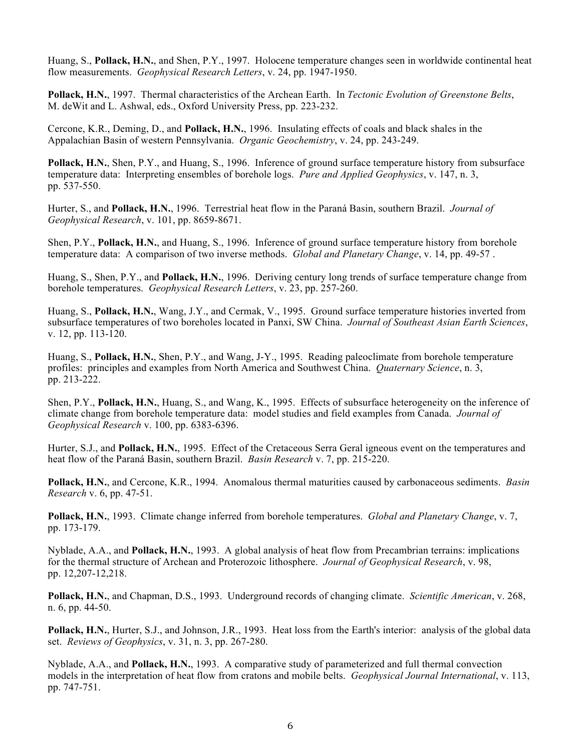Huang, S., **Pollack, H.N.**, and Shen, P.Y., 1997. Holocene temperature changes seen in worldwide continental heat flow measurements. *Geophysical Research Letters*, v. 24, pp. 1947-1950.

**Pollack, H.N.**, 1997. Thermal characteristics of the Archean Earth. In *Tectonic Evolution of Greenstone Belts*, M. deWit and L. Ashwal, eds., Oxford University Press, pp. 223-232.

Cercone, K.R., Deming, D., and **Pollack, H.N.**, 1996. Insulating effects of coals and black shales in the Appalachian Basin of western Pennsylvania. *Organic Geochemistry*, v. 24, pp. 243-249.

**Pollack, H.N.**, Shen, P.Y., and Huang, S., 1996. Inference of ground surface temperature history from subsurface temperature data: Interpreting ensembles of borehole logs. *Pure and Applied Geophysics*, v. 147, n. 3, pp. 537-550.

Hurter, S., and **Pollack, H.N.**, 1996. Terrestrial heat flow in the Paraná Basin, southern Brazil. *Journal of Geophysical Research*, v. 101, pp. 8659-8671.

Shen, P.Y., **Pollack, H.N.**, and Huang, S., 1996. Inference of ground surface temperature history from borehole temperature data: A comparison of two inverse methods. *Global and Planetary Change*, v. 14, pp. 49-57 .

Huang, S., Shen, P.Y., and **Pollack, H.N.**, 1996. Deriving century long trends of surface temperature change from borehole temperatures. *Geophysical Research Letters*, v. 23, pp. 257-260.

Huang, S., **Pollack, H.N.**, Wang, J.Y., and Cermak, V., 1995. Ground surface temperature histories inverted from subsurface temperatures of two boreholes located in Panxi, SW China. *Journal of Southeast Asian Earth Sciences*, v. 12, pp. 113-120.

Huang, S., **Pollack, H.N.**, Shen, P.Y., and Wang, J-Y., 1995. Reading paleoclimate from borehole temperature profiles: principles and examples from North America and Southwest China. *Quaternary Science*, n. 3, pp. 213-222.

Shen, P.Y., **Pollack, H.N.**, Huang, S., and Wang, K., 1995. Effects of subsurface heterogeneity on the inference of climate change from borehole temperature data: model studies and field examples from Canada. *Journal of Geophysical Research* v. 100, pp. 6383-6396.

Hurter, S.J., and **Pollack, H.N.**, 1995. Effect of the Cretaceous Serra Geral igneous event on the temperatures and heat flow of the Paraná Basin, southern Brazil. *Basin Research* v. 7, pp. 215-220.

**Pollack, H.N.**, and Cercone, K.R., 1994. Anomalous thermal maturities caused by carbonaceous sediments. *Basin Research* v. 6, pp. 47-51.

**Pollack, H.N.**, 1993. Climate change inferred from borehole temperatures. *Global and Planetary Change*, v. 7, pp. 173-179.

Nyblade, A.A., and **Pollack, H.N.**, 1993. A global analysis of heat flow from Precambrian terrains: implications for the thermal structure of Archean and Proterozoic lithosphere. *Journal of Geophysical Research*, v. 98, pp. 12,207-12,218.

**Pollack, H.N.**, and Chapman, D.S., 1993. Underground records of changing climate. *Scientific American*, v. 268, n. 6, pp. 44-50.

**Pollack, H.N.**, Hurter, S.J., and Johnson, J.R., 1993. Heat loss from the Earth's interior: analysis of the global data set. *Reviews of Geophysics*, v. 31, n. 3, pp. 267-280.

Nyblade, A.A., and **Pollack, H.N.**, 1993. A comparative study of parameterized and full thermal convection models in the interpretation of heat flow from cratons and mobile belts. *Geophysical Journal International*, v. 113, pp. 747-751.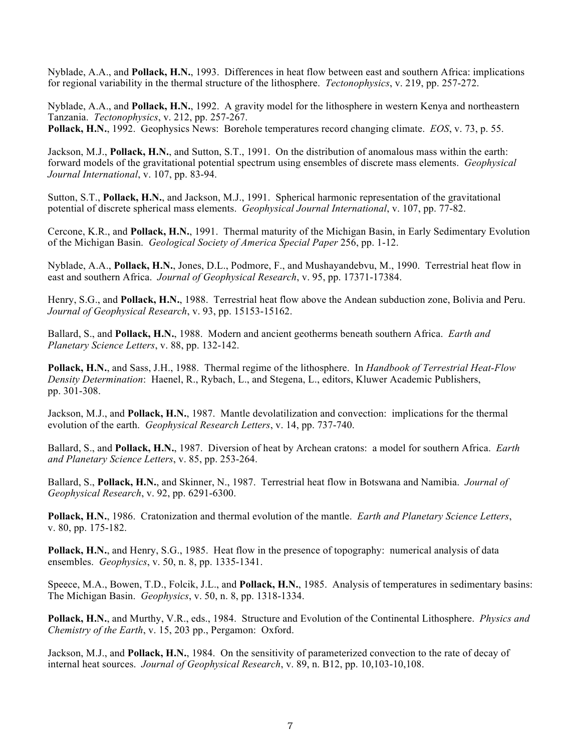Nyblade, A.A., and **Pollack, H.N.**, 1993. Differences in heat flow between east and southern Africa: implications for regional variability in the thermal structure of the lithosphere. *Tectonophysics*, v. 219, pp. 257-272.

Nyblade, A.A., and **Pollack, H.N.**, 1992. A gravity model for the lithosphere in western Kenya and northeastern Tanzania. *Tectonophysics*, v. 212, pp. 257-267. **Pollack, H.N.**, 1992. Geophysics News: Borehole temperatures record changing climate. *EOS*, v. 73, p. 55.

Jackson, M.J., **Pollack, H.N.**, and Sutton, S.T., 1991. On the distribution of anomalous mass within the earth:

forward models of the gravitational potential spectrum using ensembles of discrete mass elements. *Geophysical Journal International*, v. 107, pp. 83-94.

Sutton, S.T., **Pollack, H.N.**, and Jackson, M.J., 1991. Spherical harmonic representation of the gravitational potential of discrete spherical mass elements. *Geophysical Journal International*, v. 107, pp. 77-82.

Cercone, K.R., and **Pollack, H.N.**, 1991. Thermal maturity of the Michigan Basin, in Early Sedimentary Evolution of the Michigan Basin. *Geological Society of America Special Paper* 256, pp. 1-12.

Nyblade, A.A., **Pollack, H.N.**, Jones, D.L., Podmore, F., and Mushayandebvu, M., 1990. Terrestrial heat flow in east and southern Africa. *Journal of Geophysical Research*, v. 95, pp. 17371-17384.

Henry, S.G., and **Pollack, H.N.**, 1988. Terrestrial heat flow above the Andean subduction zone, Bolivia and Peru. *Journal of Geophysical Research*, v. 93, pp. 15153-15162.

Ballard, S., and **Pollack, H.N.**, 1988. Modern and ancient geotherms beneath southern Africa. *Earth and Planetary Science Letters*, v. 88, pp. 132-142.

**Pollack, H.N.**, and Sass, J.H., 1988. Thermal regime of the lithosphere. In *Handbook of Terrestrial Heat-Flow Density Determination*: Haenel, R., Rybach, L., and Stegena, L., editors, Kluwer Academic Publishers, pp. 301-308.

Jackson, M.J., and **Pollack, H.N.**, 1987. Mantle devolatilization and convection: implications for the thermal evolution of the earth. *Geophysical Research Letters*, v. 14, pp. 737-740.

Ballard, S., and **Pollack, H.N.**, 1987. Diversion of heat by Archean cratons: a model for southern Africa. *Earth and Planetary Science Letters*, v. 85, pp. 253-264.

Ballard, S., **Pollack, H.N.**, and Skinner, N., 1987. Terrestrial heat flow in Botswana and Namibia. *Journal of Geophysical Research*, v. 92, pp. 6291-6300.

**Pollack, H.N.**, 1986. Cratonization and thermal evolution of the mantle. *Earth and Planetary Science Letters*, v. 80, pp. 175-182.

**Pollack, H.N.**, and Henry, S.G., 1985. Heat flow in the presence of topography: numerical analysis of data ensembles. *Geophysics*, v. 50, n. 8, pp. 1335-1341.

Speece, M.A., Bowen, T.D., Folcik, J.L., and **Pollack, H.N.**, 1985. Analysis of temperatures in sedimentary basins: The Michigan Basin. *Geophysics*, v. 50, n. 8, pp. 1318-1334.

**Pollack, H.N.**, and Murthy, V.R., eds., 1984. Structure and Evolution of the Continental Lithosphere. *Physics and Chemistry of the Earth*, v. 15, 203 pp., Pergamon: Oxford.

Jackson, M.J., and **Pollack, H.N.**, 1984. On the sensitivity of parameterized convection to the rate of decay of internal heat sources. *Journal of Geophysical Research*, v. 89, n. B12, pp. 10,103-10,108.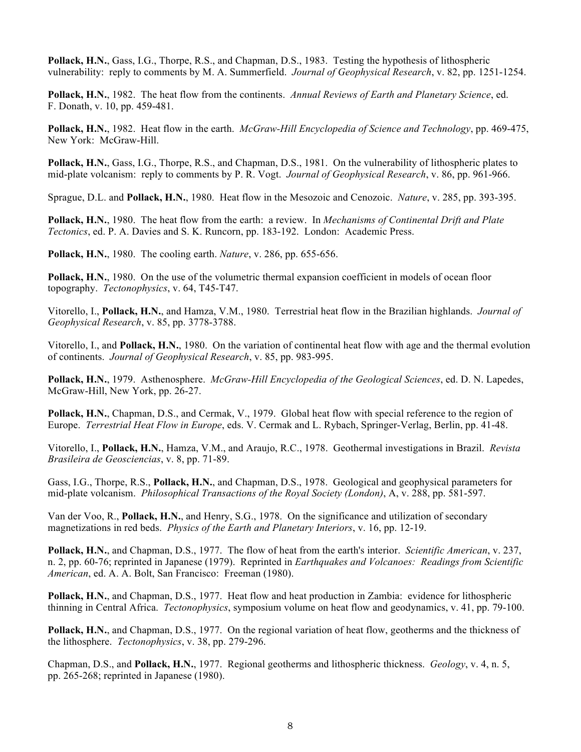**Pollack, H.N.**, Gass, I.G., Thorpe, R.S., and Chapman, D.S., 1983. Testing the hypothesis of lithospheric vulnerability: reply to comments by M. A. Summerfield. *Journal of Geophysical Research*, v. 82, pp. 1251-1254.

**Pollack, H.N.**, 1982. The heat flow from the continents. *Annual Reviews of Earth and Planetary Science*, ed. F. Donath, v. 10, pp. 459-481.

**Pollack, H.N.**, 1982. Heat flow in the earth. *McGraw-Hill Encyclopedia of Science and Technology*, pp. 469-475, New York: McGraw-Hill.

**Pollack, H.N.**, Gass, I.G., Thorpe, R.S., and Chapman, D.S., 1981. On the vulnerability of lithospheric plates to mid-plate volcanism: reply to comments by P. R. Vogt. *Journal of Geophysical Research*, v. 86, pp. 961-966.

Sprague, D.L. and **Pollack, H.N.**, 1980. Heat flow in the Mesozoic and Cenozoic. *Nature*, v. 285, pp. 393-395.

**Pollack, H.N.**, 1980. The heat flow from the earth: a review. In *Mechanisms of Continental Drift and Plate Tectonics*, ed. P. A. Davies and S. K. Runcorn, pp. 183-192. London: Academic Press.

**Pollack, H.N.**, 1980. The cooling earth. *Nature*, v. 286, pp. 655-656.

Pollack, H.N., 1980. On the use of the volumetric thermal expansion coefficient in models of ocean floor topography. *Tectonophysics*, v. 64, T45-T47.

Vitorello, I., **Pollack, H.N.**, and Hamza, V.M., 1980. Terrestrial heat flow in the Brazilian highlands. *Journal of Geophysical Research*, v. 85, pp. 3778-3788.

Vitorello, I., and **Pollack, H.N.**, 1980. On the variation of continental heat flow with age and the thermal evolution of continents. *Journal of Geophysical Research*, v. 85, pp. 983-995.

**Pollack, H.N.**, 1979. Asthenosphere. *McGraw-Hill Encyclopedia of the Geological Sciences*, ed. D. N. Lapedes, McGraw-Hill, New York, pp. 26-27.

**Pollack, H.N.**, Chapman, D.S., and Cermak, V., 1979. Global heat flow with special reference to the region of Europe. *Terrestrial Heat Flow in Europe*, eds. V. Cermak and L. Rybach, Springer-Verlag, Berlin, pp. 41-48.

Vitorello, I., **Pollack, H.N.**, Hamza, V.M., and Araujo, R.C., 1978. Geothermal investigations in Brazil. *Revista Brasileira de Geosciencias*, v. 8, pp. 71-89.

Gass, I.G., Thorpe, R.S., **Pollack, H.N.**, and Chapman, D.S., 1978. Geological and geophysical parameters for mid-plate volcanism. *Philosophical Transactions of the Royal Society (London)*, A, v. 288, pp. 581-597.

Van der Voo, R., **Pollack, H.N.**, and Henry, S.G., 1978. On the significance and utilization of secondary magnetizations in red beds. *Physics of the Earth and Planetary Interiors*, v. 16, pp. 12-19.

**Pollack, H.N.**, and Chapman, D.S., 1977. The flow of heat from the earth's interior. *Scientific American*, v. 237, n. 2, pp. 60-76; reprinted in Japanese (1979). Reprinted in *Earthquakes and Volcanoes: Readings from Scientific American*, ed. A. A. Bolt, San Francisco: Freeman (1980).

**Pollack, H.N.**, and Chapman, D.S., 1977. Heat flow and heat production in Zambia: evidence for lithospheric thinning in Central Africa. *Tectonophysics*, symposium volume on heat flow and geodynamics, v. 41, pp. 79-100.

**Pollack, H.N.**, and Chapman, D.S., 1977. On the regional variation of heat flow, geotherms and the thickness of the lithosphere. *Tectonophysics*, v. 38, pp. 279-296.

Chapman, D.S., and **Pollack, H.N.**, 1977. Regional geotherms and lithospheric thickness. *Geology*, v. 4, n. 5, pp. 265-268; reprinted in Japanese (1980).